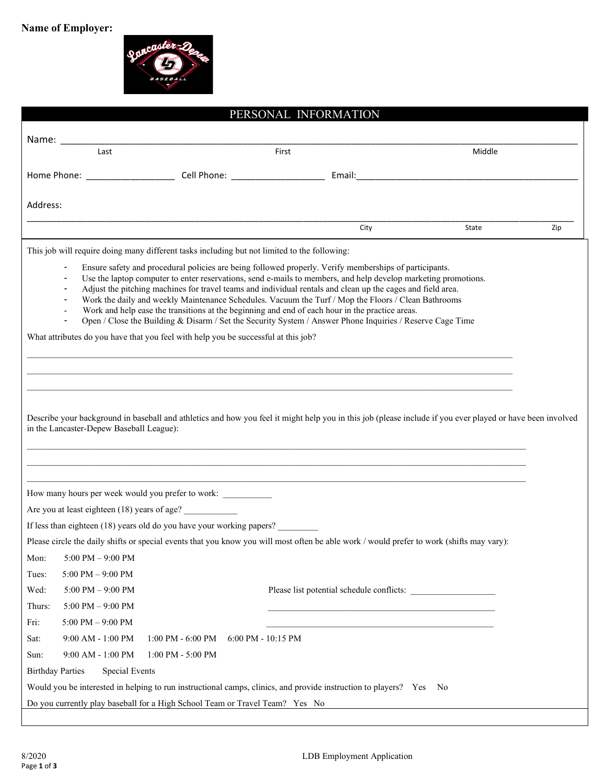

| PERSONAL INFORMATION                                                                                                                                                                                                                                                                                                                                                                                                                                                                                                                                                                                                                                                                       |       |              |  |  |
|--------------------------------------------------------------------------------------------------------------------------------------------------------------------------------------------------------------------------------------------------------------------------------------------------------------------------------------------------------------------------------------------------------------------------------------------------------------------------------------------------------------------------------------------------------------------------------------------------------------------------------------------------------------------------------------------|-------|--------------|--|--|
|                                                                                                                                                                                                                                                                                                                                                                                                                                                                                                                                                                                                                                                                                            |       |              |  |  |
| Last                                                                                                                                                                                                                                                                                                                                                                                                                                                                                                                                                                                                                                                                                       | First | Middle       |  |  |
|                                                                                                                                                                                                                                                                                                                                                                                                                                                                                                                                                                                                                                                                                            |       |              |  |  |
|                                                                                                                                                                                                                                                                                                                                                                                                                                                                                                                                                                                                                                                                                            |       |              |  |  |
| Address:                                                                                                                                                                                                                                                                                                                                                                                                                                                                                                                                                                                                                                                                                   |       |              |  |  |
|                                                                                                                                                                                                                                                                                                                                                                                                                                                                                                                                                                                                                                                                                            | City  | State<br>Zip |  |  |
| This job will require doing many different tasks including but not limited to the following:                                                                                                                                                                                                                                                                                                                                                                                                                                                                                                                                                                                               |       |              |  |  |
| Ensure safety and procedural policies are being followed properly. Verify memberships of participants.<br>Use the laptop computer to enter reservations, send e-mails to members, and help develop marketing promotions.<br>Adjust the pitching machines for travel teams and individual rentals and clean up the cages and field area.<br>Work the daily and weekly Maintenance Schedules. Vacuum the Turf / Mop the Floors / Clean Bathrooms<br>$\overline{\phantom{a}}$<br>Work and help ease the transitions at the beginning and end of each hour in the practice areas.<br>Open / Close the Building & Disarm / Set the Security System / Answer Phone Inquiries / Reserve Cage Time |       |              |  |  |
| What attributes do you have that you feel with help you be successful at this job?                                                                                                                                                                                                                                                                                                                                                                                                                                                                                                                                                                                                         |       |              |  |  |
|                                                                                                                                                                                                                                                                                                                                                                                                                                                                                                                                                                                                                                                                                            |       |              |  |  |
|                                                                                                                                                                                                                                                                                                                                                                                                                                                                                                                                                                                                                                                                                            |       |              |  |  |
| Describe your background in baseball and athletics and how you feel it might help you in this job (please include if you ever played or have been involved<br>in the Lancaster-Depew Baseball League):                                                                                                                                                                                                                                                                                                                                                                                                                                                                                     |       |              |  |  |
| How many hours per week would you prefer to work:                                                                                                                                                                                                                                                                                                                                                                                                                                                                                                                                                                                                                                          |       |              |  |  |
| Are you at least eighteen (18) years of age?                                                                                                                                                                                                                                                                                                                                                                                                                                                                                                                                                                                                                                               |       |              |  |  |
| If less than eighteen (18) years old do you have your working papers?                                                                                                                                                                                                                                                                                                                                                                                                                                                                                                                                                                                                                      |       |              |  |  |
| Please circle the daily shifts or special events that you know you will most often be able work / would prefer to work (shifts may vary):                                                                                                                                                                                                                                                                                                                                                                                                                                                                                                                                                  |       |              |  |  |
| Mon:<br>$5:00$ PM $-9:00$ PM                                                                                                                                                                                                                                                                                                                                                                                                                                                                                                                                                                                                                                                               |       |              |  |  |
| Tues:<br>5:00 PM $-$ 9:00 PM                                                                                                                                                                                                                                                                                                                                                                                                                                                                                                                                                                                                                                                               |       |              |  |  |
| Wed:<br>$5:00$ PM $-9:00$ PM                                                                                                                                                                                                                                                                                                                                                                                                                                                                                                                                                                                                                                                               |       |              |  |  |
| Thurs:<br>$5:00$ PM $-9:00$ PM                                                                                                                                                                                                                                                                                                                                                                                                                                                                                                                                                                                                                                                             |       |              |  |  |
| Fri:<br>$5:00$ PM $-$ 9:00 PM                                                                                                                                                                                                                                                                                                                                                                                                                                                                                                                                                                                                                                                              |       |              |  |  |
| Sat:<br>9:00 AM - 1:00 PM<br>1:00 PM - 6:00 PM<br>6:00 PM - 10:15 PM                                                                                                                                                                                                                                                                                                                                                                                                                                                                                                                                                                                                                       |       |              |  |  |
| Sun:<br>9:00 AM - 1:00 PM<br>$1:00$ PM - 5:00 PM                                                                                                                                                                                                                                                                                                                                                                                                                                                                                                                                                                                                                                           |       |              |  |  |
| <b>Birthday Parties</b><br><b>Special Events</b>                                                                                                                                                                                                                                                                                                                                                                                                                                                                                                                                                                                                                                           |       |              |  |  |
| Would you be interested in helping to run instructional camps, clinics, and provide instruction to players? Yes                                                                                                                                                                                                                                                                                                                                                                                                                                                                                                                                                                            |       | No.          |  |  |
| Do you currently play baseball for a High School Team or Travel Team? Yes No                                                                                                                                                                                                                                                                                                                                                                                                                                                                                                                                                                                                               |       |              |  |  |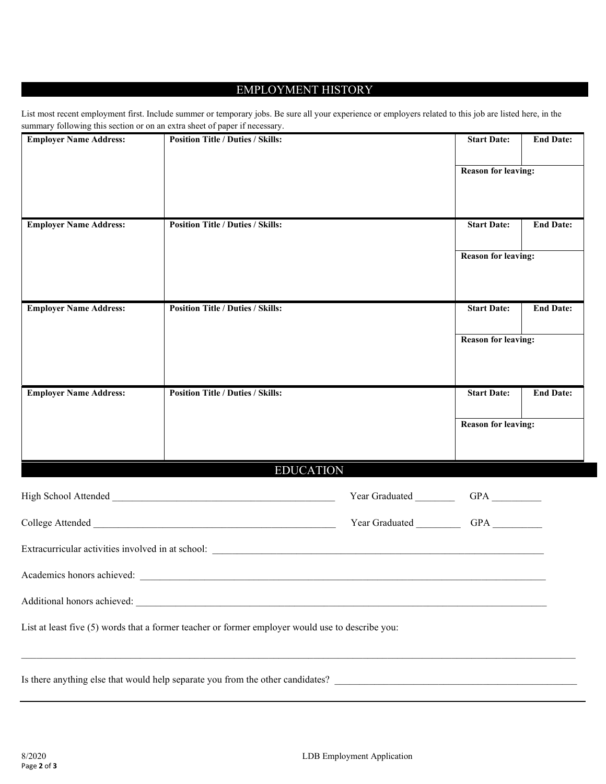## EMPLOYMENT HISTORY

| List most recent employment first. Include summer or temporary jobs. Be sure all your experience or employers related to this job are listed here, in the |  |  |
|-----------------------------------------------------------------------------------------------------------------------------------------------------------|--|--|
| summary following this section or on an extra sheet of paper if necessary.                                                                                |  |  |

| <b>Employer Name Address:</b> | <b>Position Title / Duties / Skills:</b>                                                                                                                                                                                      |                    | <b>Start Date:</b>         | <b>End Date:</b> |
|-------------------------------|-------------------------------------------------------------------------------------------------------------------------------------------------------------------------------------------------------------------------------|--------------------|----------------------------|------------------|
|                               |                                                                                                                                                                                                                               |                    | <b>Reason for leaving:</b> |                  |
|                               |                                                                                                                                                                                                                               |                    |                            |                  |
| <b>Employer Name Address:</b> | <b>Position Title / Duties / Skills:</b>                                                                                                                                                                                      |                    | <b>Start Date:</b>         | <b>End Date:</b> |
|                               |                                                                                                                                                                                                                               |                    | <b>Reason for leaving:</b> |                  |
| <b>Employer Name Address:</b> | <b>Position Title / Duties / Skills:</b>                                                                                                                                                                                      |                    | <b>Start Date:</b>         | <b>End Date:</b> |
|                               |                                                                                                                                                                                                                               |                    | <b>Reason for leaving:</b> |                  |
| <b>Employer Name Address:</b> | <b>Position Title / Duties / Skills:</b>                                                                                                                                                                                      |                    | <b>Start Date:</b>         | <b>End Date:</b> |
|                               |                                                                                                                                                                                                                               |                    | <b>Reason for leaving:</b> |                  |
|                               | <b>EDUCATION</b>                                                                                                                                                                                                              |                    |                            |                  |
|                               |                                                                                                                                                                                                                               | Year Graduated     |                            |                  |
|                               |                                                                                                                                                                                                                               | Year Graduated GPA |                            |                  |
|                               | Extracurricular activities involved in at school: Letterature and the state of the state of the state of the state of the state of the state of the state of the state of the state of the state of the state of the state of |                    |                            |                  |
| Academics honors achieved:    |                                                                                                                                                                                                                               |                    |                            |                  |
|                               |                                                                                                                                                                                                                               |                    |                            |                  |
|                               | List at least five (5) words that a former teacher or former employer would use to describe you:                                                                                                                              |                    |                            |                  |
|                               | ,我们也不会有什么。""我们的人,我们也不会有什么?""我们的人,我们也不会有什么?""我们的人,我们也不会有什么?""我们的人,我们也不会有什么?""我们的人                                                                                                                                              |                    |                            |                  |